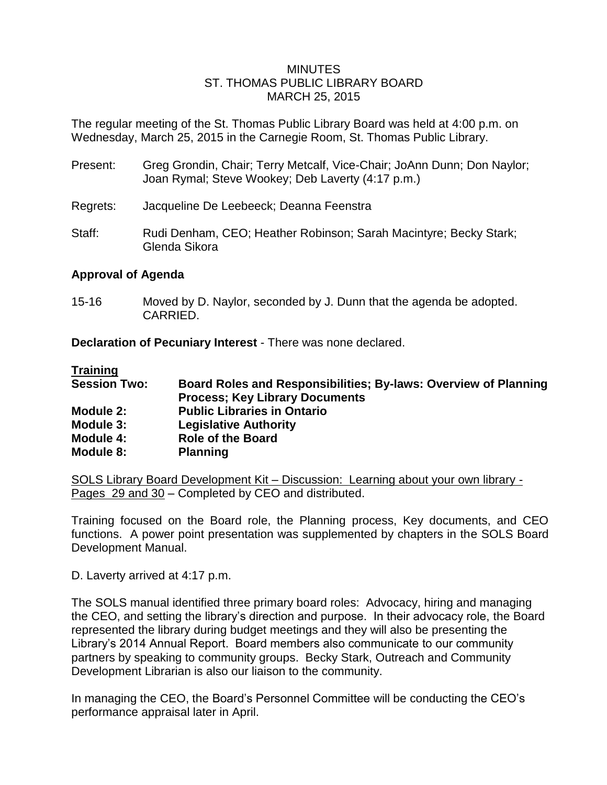### MINUTES ST. THOMAS PUBLIC LIBRARY BOARD MARCH 25, 2015

The regular meeting of the St. Thomas Public Library Board was held at 4:00 p.m. on Wednesday, March 25, 2015 in the Carnegie Room, St. Thomas Public Library.

- Present: Greg Grondin, Chair; Terry Metcalf, Vice-Chair; JoAnn Dunn; Don Naylor; Joan Rymal; Steve Wookey; Deb Laverty (4:17 p.m.)
- Regrets: Jacqueline De Leebeeck; Deanna Feenstra
- Staff: Rudi Denham, CEO; Heather Robinson; Sarah Macintyre; Becky Stark; Glenda Sikora

## **Approval of Agenda**

15-16 Moved by D. Naylor, seconded by J. Dunn that the agenda be adopted. CARRIED.

**Declaration of Pecuniary Interest** - There was none declared.

**Training Session Two: Board Roles and Responsibilities; By-laws: Overview of Planning Process; Key Library Documents Module 2: Public Libraries in Ontario Module 3: Legislative Authority Module 4: Role of the Board Module 8: Planning**

SOLS Library Board Development Kit – Discussion: Learning about your own library - Pages 29 and 30 – Completed by CEO and distributed.

Training focused on the Board role, the Planning process, Key documents, and CEO functions. A power point presentation was supplemented by chapters in the SOLS Board Development Manual.

D. Laverty arrived at 4:17 p.m.

The SOLS manual identified three primary board roles: Advocacy, hiring and managing the CEO, and setting the library's direction and purpose. In their advocacy role, the Board represented the library during budget meetings and they will also be presenting the Library's 2014 Annual Report. Board members also communicate to our community partners by speaking to community groups. Becky Stark, Outreach and Community Development Librarian is also our liaison to the community.

In managing the CEO, the Board's Personnel Committee will be conducting the CEO's performance appraisal later in April.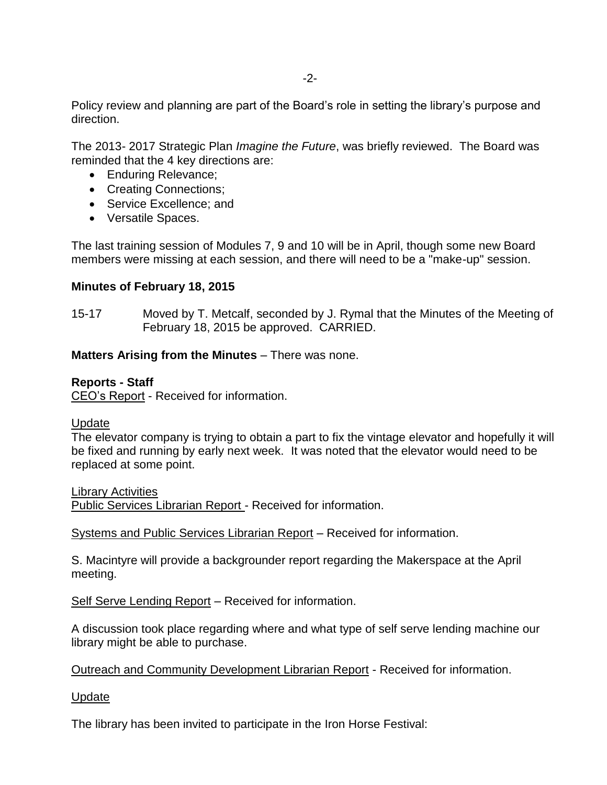Policy review and planning are part of the Board's role in setting the library's purpose and direction.

The 2013- 2017 Strategic Plan *Imagine the Future*, was briefly reviewed. The Board was reminded that the 4 key directions are:

- Enduring Relevance;
- Creating Connections;
- Service Excellence; and
- Versatile Spaces.

The last training session of Modules 7, 9 and 10 will be in April, though some new Board members were missing at each session, and there will need to be a "make-up" session.

## **Minutes of February 18, 2015**

15-17 Moved by T. Metcalf, seconded by J. Rymal that the Minutes of the Meeting of February 18, 2015 be approved. CARRIED.

### **Matters Arising from the Minutes** – There was none.

#### **Reports - Staff**

CEO's Report - Received for information.

#### Update

The elevator company is trying to obtain a part to fix the vintage elevator and hopefully it will be fixed and running by early next week. It was noted that the elevator would need to be replaced at some point.

Library Activities

Public Services Librarian Report - Received for information.

Systems and Public Services Librarian Report – Received for information.

S. Macintyre will provide a backgrounder report regarding the Makerspace at the April meeting.

Self Serve Lending Report – Received for information.

A discussion took place regarding where and what type of self serve lending machine our library might be able to purchase.

Outreach and Community Development Librarian Report - Received for information.

#### Update

The library has been invited to participate in the Iron Horse Festival: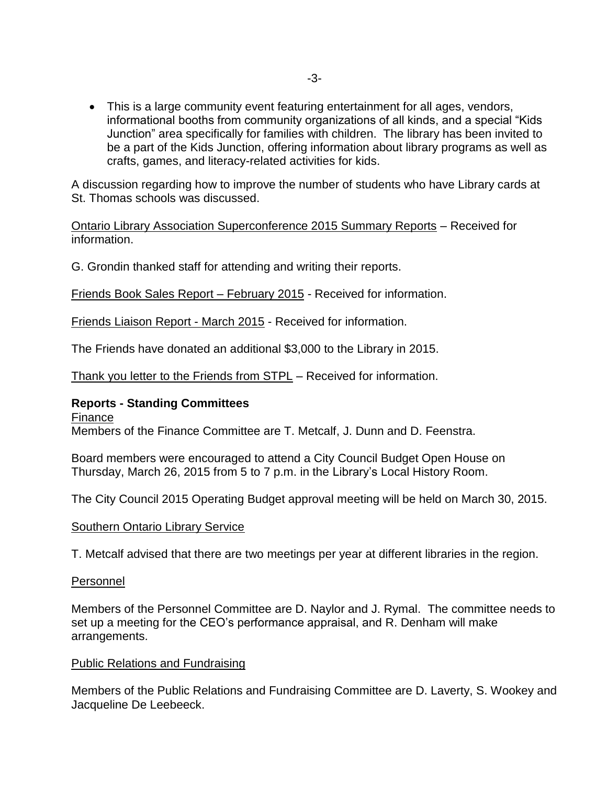This is a large community event featuring entertainment for all ages, vendors, informational booths from community organizations of all kinds, and a special "Kids Junction" area specifically for families with children. The library has been invited to be a part of the Kids Junction, offering information about library programs as well as crafts, games, and literacy-related activities for kids.

A discussion regarding how to improve the number of students who have Library cards at St. Thomas schools was discussed.

Ontario Library Association Superconference 2015 Summary Reports – Received for information.

G. Grondin thanked staff for attending and writing their reports.

Friends Book Sales Report – February 2015 - Received for information.

Friends Liaison Report - March 2015 - Received for information.

The Friends have donated an additional \$3,000 to the Library in 2015.

Thank you letter to the Friends from STPL - Received for information.

#### **Reports - Standing Committees**

Finance

Members of the Finance Committee are T. Metcalf, J. Dunn and D. Feenstra.

Board members were encouraged to attend a City Council Budget Open House on Thursday, March 26, 2015 from 5 to 7 p.m. in the Library's Local History Room.

The City Council 2015 Operating Budget approval meeting will be held on March 30, 2015.

#### Southern Ontario Library Service

T. Metcalf advised that there are two meetings per year at different libraries in the region.

#### Personnel

Members of the Personnel Committee are D. Naylor and J. Rymal. The committee needs to set up a meeting for the CEO's performance appraisal, and R. Denham will make arrangements.

#### Public Relations and Fundraising

Members of the Public Relations and Fundraising Committee are D. Laverty, S. Wookey and Jacqueline De Leebeeck.